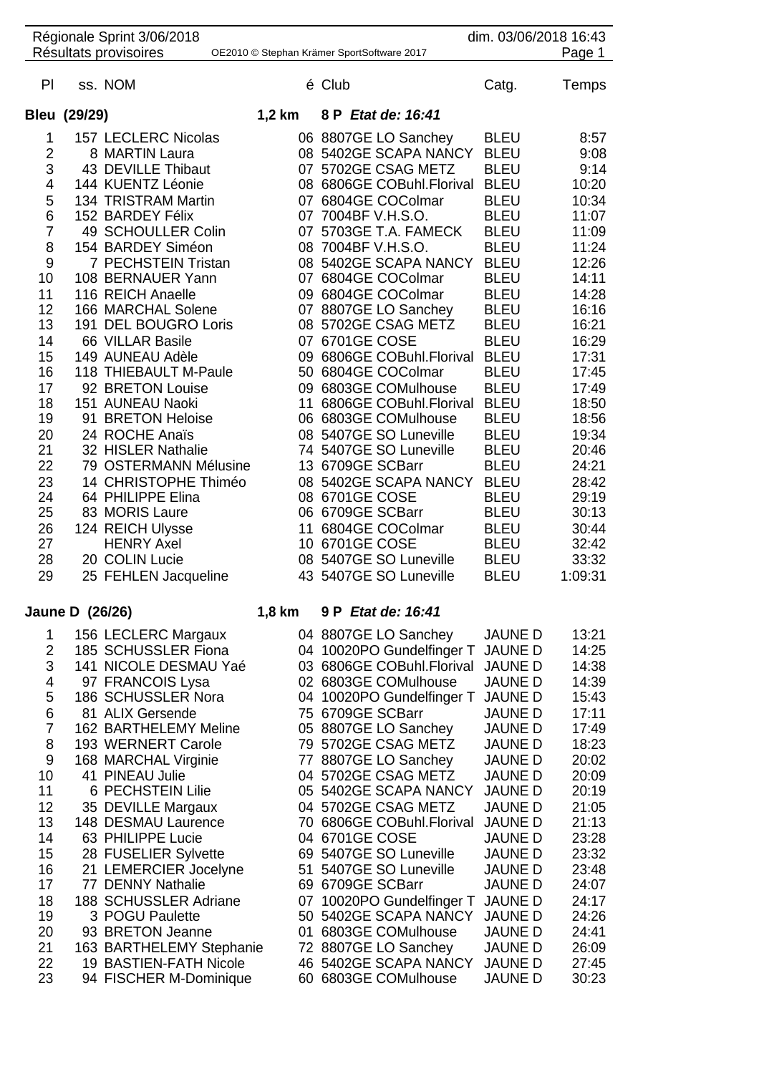| dim. 03/06/2018 16:43<br>Régionale Sprint 3/06/2018                           |              |                       |          |                           |             |         |  |  |
|-------------------------------------------------------------------------------|--------------|-----------------------|----------|---------------------------|-------------|---------|--|--|
| Résultats provisoires<br>Page 1<br>OE2010 © Stephan Krämer SportSoftware 2017 |              |                       |          |                           |             |         |  |  |
| PI                                                                            |              | ss. NOM               |          | é Club                    | Catg.       | Temps   |  |  |
|                                                                               | Bleu (29/29) |                       | $1,2$ km | 8 P Etat de: 16:41        |             |         |  |  |
| 1                                                                             |              | 157 LECLERC Nicolas   |          | 06 8807GE LO Sanchey      | <b>BLEU</b> | 8:57    |  |  |
| $\overline{c}$                                                                |              | 8 MARTIN Laura        |          | 08 5402GE SCAPA NANCY     | <b>BLEU</b> | 9:08    |  |  |
| 3                                                                             |              | 43 DEVILLE Thibaut    |          | 07 5702GE CSAG METZ       | <b>BLEU</b> | 9:14    |  |  |
| 4                                                                             |              | 144 KUENTZ Léonie     |          | 08 6806GE COBuhl.Florival | <b>BLEU</b> | 10:20   |  |  |
| 5                                                                             |              | 134 TRISTRAM Martin   | 07       | 6804GE COColmar           | <b>BLEU</b> | 10:34   |  |  |
| 6                                                                             |              | 152 BARDEY Félix      | 07       | 7004BF V.H.S.O.           | <b>BLEU</b> | 11:07   |  |  |
| $\overline{7}$                                                                |              | 49 SCHOULLER Colin    | 07       | 5703GE T.A. FAMECK        | <b>BLEU</b> | 11:09   |  |  |
| 8                                                                             |              | 154 BARDEY Siméon     |          | 08 7004BF V.H.S.O.        | <b>BLEU</b> | 11:24   |  |  |
| 9                                                                             |              | 7 PECHSTEIN Tristan   |          | 08 5402GE SCAPA NANCY     | <b>BLEU</b> | 12:26   |  |  |
| 10                                                                            |              | 108 BERNAUER Yann     |          | 07 6804GE COColmar        | <b>BLEU</b> | 14:11   |  |  |
| 11                                                                            |              | 116 REICH Anaelle     |          | 09 6804GE COColmar        | <b>BLEU</b> | 14:28   |  |  |
| 12                                                                            |              | 166 MARCHAL Solene    |          | 07 8807GE LO Sanchey      | <b>BLEU</b> | 16:16   |  |  |
| 13                                                                            |              | 191 DEL BOUGRO Loris  |          | 08 5702GE CSAG METZ       | <b>BLEU</b> | 16:21   |  |  |
| 14                                                                            |              | 66 VILLAR Basile      |          | 07 6701GE COSE            | <b>BLEU</b> | 16:29   |  |  |
| 15                                                                            |              | 149 AUNEAU Adèle      | 09       | 6806GE COBuhl.Florival    | <b>BLEU</b> | 17:31   |  |  |
| 16                                                                            |              | 118 THIEBAULT M-Paule | 50       | 6804GE COColmar           | <b>BLEU</b> | 17:45   |  |  |
| 17                                                                            |              | 92 BRETON Louise      | 09       | 6803GE COMulhouse         | <b>BLEU</b> | 17:49   |  |  |
| 18                                                                            |              | 151 AUNEAU Naoki      | 11       | 6806GE COBuhl.Florival    | <b>BLEU</b> | 18:50   |  |  |
| 19                                                                            |              | 91 BRETON Heloise     | 06       | 6803GE COMulhouse         | <b>BLEU</b> | 18:56   |  |  |
| 20                                                                            |              | 24 ROCHE Anaïs        |          | 08 5407GE SO Luneville    | <b>BLEU</b> | 19:34   |  |  |
| 21                                                                            |              | 32 HISLER Nathalie    |          | 74 5407GE SO Luneville    | <b>BLEU</b> | 20:46   |  |  |
| 22                                                                            |              | 79 OSTERMANN Mélusine |          | 13 6709GE SCBarr          | <b>BLEU</b> | 24:21   |  |  |
| 23                                                                            |              | 14 CHRISTOPHE Thiméo  |          | 08 5402GE SCAPA NANCY     | <b>BLEU</b> | 28:42   |  |  |
| 24                                                                            |              | 64 PHILIPPE Elina     |          | 08 6701GE COSE            | <b>BLEU</b> | 29:19   |  |  |
| 25                                                                            |              | 83 MORIS Laure        |          | 06 6709GE SCBarr          | <b>BLEU</b> | 30:13   |  |  |
| 26                                                                            |              | 124 REICH Ulysse      | 11       | 6804GE COColmar           | <b>BLEU</b> | 30:44   |  |  |
| 27                                                                            |              | <b>HENRY Axel</b>     |          | 10 6701GE COSE            | <b>BLEU</b> | 32:42   |  |  |
| 28                                                                            |              | 20 COLIN Lucie        |          | 08 5407GE SO Luneville    | <b>BLEU</b> | 33:32   |  |  |
| 29                                                                            |              | 25 FEHLEN Jacqueline  |          | 43 5407GE SO Luneville    | <b>BLEU</b> | 1:09:31 |  |  |

## **Jaune D (26/26) 1,8 km 9 P** *Etat de: 16:41*

|    | 156 LECLERC Margaux      |     | 04 8807GE LO Sanchey      | <b>JAUNE D</b> | 13:21 |
|----|--------------------------|-----|---------------------------|----------------|-------|
| 2  | 185 SCHUSSLER Fiona      |     | 04 10020PO Gundelfinger T | <b>JAUNE D</b> | 14:25 |
| 3  | 141 NICOLE DESMAU Yaé    |     | 03 6806GE COBuhl.Florival | <b>JAUNE D</b> | 14:38 |
| 4  | 97 FRANCOIS Lysa         | 02  | 6803GE COMulhouse         | <b>JAUNE D</b> | 14:39 |
| 5  | 186 SCHUSSLER Nora       |     | 04 10020PO Gundelfinger T | <b>JAUNE D</b> | 15:43 |
| 6  | 81 ALIX Gersende         |     | 75 6709GE SCBarr          | <b>JAUNE D</b> | 17:11 |
| 7  | 162 BARTHELEMY Meline    |     | 05 8807GE LO Sanchey      | <b>JAUNE D</b> | 17:49 |
| 8  | 193 WERNERT Carole       |     | 79 5702GE CSAG METZ       | <b>JAUNE D</b> | 18:23 |
| 9  | 168 MARCHAL Virginie     | 77  | 8807GE LO Sanchey         | <b>JAUNE D</b> | 20:02 |
| 10 | 41 PINEAU Julie          |     | 04 5702GE CSAG METZ       | <b>JAUNE D</b> | 20:09 |
| 11 | 6 PECHSTEIN Lilie        | 05  | 5402GE SCAPA NANCY        | <b>JAUNE D</b> | 20:19 |
| 12 | 35 DEVILLE Margaux       |     | 04 5702GE CSAG METZ       | <b>JAUNE D</b> | 21:05 |
| 13 | 148 DESMAU Laurence      | 70  | 6806GE COBuhl.Florival    | <b>JAUNE D</b> | 21:13 |
| 14 | 63 PHILIPPE Lucie        | 04  | 6701GE COSE               | <b>JAUNE D</b> | 23:28 |
| 15 | 28 FUSELIER Sylvette     |     | 69 5407GE SO Luneville    | <b>JAUNED</b>  | 23:32 |
| 16 | 21 LEMERCIER Jocelyne    | 51  | 5407GE SO Luneville       | <b>JAUNE D</b> | 23:48 |
| 17 | 77 DENNY Nathalie        | 69. | 6709GE SCBarr             | <b>JAUNE D</b> | 24:07 |
| 18 | 188 SCHUSSLER Adriane    | 07  | 10020PO Gundelfinger T    | <b>JAUNE D</b> | 24:17 |
| 19 | 3 POGU Paulette          |     | 50 5402GE SCAPA NANCY     | <b>JAUNE D</b> | 24:26 |
| 20 | 93 BRETON Jeanne         | 01  | 6803GE COMulhouse         | <b>JAUNE D</b> | 24:41 |
| 21 | 163 BARTHELEMY Stephanie |     | 72 8807GE LO Sanchey      | <b>JAUNE D</b> | 26:09 |
| 22 | 19 BASTIEN-FATH Nicole   |     | 46 5402GE SCAPA NANCY     | <b>JAUNE D</b> | 27:45 |
| 23 | 94 FISCHER M-Dominique   |     | 60 6803GE COMulhouse      | <b>JAUNE D</b> | 30:23 |
|    |                          |     |                           |                |       |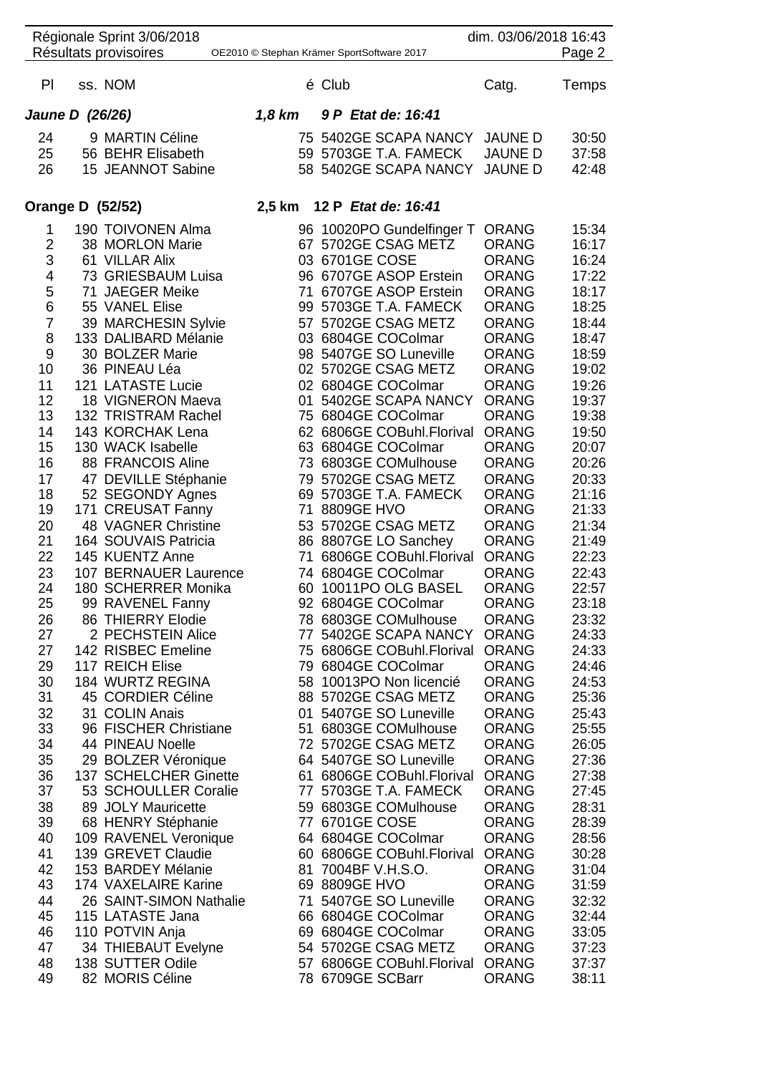| Régionale Sprint 3/06/2018<br>dim. 03/06/2018 16:43<br>Résultats provisoires<br>Page 2<br>OE2010 © Stephan Krämer SportSoftware 2017 |                                                    |        |                                                |                              |                |  |  |
|--------------------------------------------------------------------------------------------------------------------------------------|----------------------------------------------------|--------|------------------------------------------------|------------------------------|----------------|--|--|
| PI                                                                                                                                   | ss. NOM                                            |        | é Club                                         | Catg.                        | Temps          |  |  |
|                                                                                                                                      | Jaune D (26/26)                                    | 1,8 km | 9 P Etat de: 16:41                             |                              |                |  |  |
| 24                                                                                                                                   | 9 MARTIN Céline                                    |        | 75 5402GE SCAPA NANCY                          | <b>JAUNE D</b>               | 30:50          |  |  |
| 25                                                                                                                                   | 56 BEHR Elisabeth                                  |        | 59 5703GE T.A. FAMECK                          | <b>JAUNE D</b>               | 37:58          |  |  |
| 26                                                                                                                                   | 15 JEANNOT Sabine                                  |        | 58 5402GE SCAPA NANCY                          | <b>JAUNE D</b>               | 42:48          |  |  |
|                                                                                                                                      | <b>Orange D (52/52)</b>                            |        | 2,5 km 12 P Etat de: 16:41                     |                              |                |  |  |
| 1                                                                                                                                    | 190 TOIVONEN Alma                                  |        | 96 10020PO Gundelfinger T                      | <b>ORANG</b>                 | 15:34          |  |  |
| $\overline{2}$<br>3                                                                                                                  | 38 MORLON Marie<br>61 VILLAR Alix                  |        | 67 5702GE CSAG METZ<br>03 6701GE COSE          | <b>ORANG</b><br><b>ORANG</b> | 16:17<br>16:24 |  |  |
| $\overline{\mathbf{4}}$                                                                                                              | 73 GRIESBAUM Luisa                                 |        | 96 6707GE ASOP Erstein                         | <b>ORANG</b>                 | 17:22          |  |  |
| 5                                                                                                                                    | 71 JAEGER Meike                                    |        | 71 6707GE ASOP Erstein                         | <b>ORANG</b>                 | 18:17          |  |  |
| 6                                                                                                                                    | 55 VANEL Elise                                     |        | 99 5703GE T.A. FAMECK                          | <b>ORANG</b>                 | 18:25          |  |  |
| $\overline{7}$                                                                                                                       | 39 MARCHESIN Sylvie                                |        | 57 5702GE CSAG METZ                            | <b>ORANG</b>                 | 18:44          |  |  |
| 8                                                                                                                                    | 133 DALIBARD Mélanie                               |        | 03 6804GE COColmar                             | <b>ORANG</b>                 | 18:47          |  |  |
| 9<br>10                                                                                                                              | 30 BOLZER Marie<br>36 PINEAU Léa                   |        | 98 5407GE SO Luneville<br>02 5702GE CSAG METZ  | <b>ORANG</b><br><b>ORANG</b> | 18:59<br>19:02 |  |  |
| 11                                                                                                                                   | 121 LATASTE Lucie                                  |        | 02 6804GE COColmar                             | <b>ORANG</b>                 | 19:26          |  |  |
| 12                                                                                                                                   | 18 VIGNERON Maeva                                  | 01     | 5402GE SCAPA NANCY                             | <b>ORANG</b>                 | 19:37          |  |  |
| 13                                                                                                                                   | 132 TRISTRAM Rachel                                |        | 75 6804GE COColmar                             | <b>ORANG</b>                 | 19:38          |  |  |
| 14                                                                                                                                   | 143 KORCHAK Lena                                   |        | 62 6806GE COBuhl.Florival                      | <b>ORANG</b>                 | 19:50          |  |  |
| 15<br>16                                                                                                                             | 130 WACK Isabelle<br>88 FRANCOIS Aline             |        | 63 6804GE COColmar<br>73 6803GE COMulhouse     | <b>ORANG</b><br><b>ORANG</b> | 20:07<br>20:26 |  |  |
| 17                                                                                                                                   | 47 DEVILLE Stéphanie                               |        | 79 5702GE CSAG METZ                            | <b>ORANG</b>                 | 20:33          |  |  |
| 18                                                                                                                                   | 52 SEGONDY Agnes                                   |        | 69 5703GE T.A. FAMECK                          | <b>ORANG</b>                 | 21:16          |  |  |
| 19                                                                                                                                   | 171 CREUSAT Fanny                                  |        | 71 8809GE HVO                                  | <b>ORANG</b>                 | 21:33          |  |  |
| 20<br>21                                                                                                                             | <b>48 VAGNER Christine</b><br>164 SOUVAIS Patricia |        | 53 5702GE CSAG METZ                            | <b>ORANG</b><br><b>ORANG</b> | 21:34<br>21:49 |  |  |
| 22                                                                                                                                   | 145 KUENTZ Anne                                    | 71     | 86 8807GE LO Sanchey<br>6806GE COBuhl.Florival | <b>ORANG</b>                 | 22:23          |  |  |
| 23                                                                                                                                   | 107 BERNAUER Laurence                              |        | 74 6804GE COColmar                             | <b>ORANG</b>                 | 22:43          |  |  |
| 24                                                                                                                                   | 180 SCHERRER Monika                                |        | 60 10011PO OLG BASEL                           | <b>ORANG</b>                 | 22:57          |  |  |
| 25                                                                                                                                   | 99 RAVENEL Fanny                                   |        | 92 6804GE COColmar                             | <b>ORANG</b>                 | 23:18          |  |  |
| 26<br>27                                                                                                                             | 86 THIERRY Elodie<br>2 PECHSTEIN Alice             |        | 78 6803GE COMulhouse<br>77 5402GE SCAPA NANCY  | <b>ORANG</b><br><b>ORANG</b> | 23:32<br>24:33 |  |  |
| 27                                                                                                                                   | 142 RISBEC Emeline                                 |        | 75 6806GE COBuhl.Florival                      | <b>ORANG</b>                 | 24:33          |  |  |
| 29                                                                                                                                   | 117 REICH Elise                                    |        | 79 6804GE COColmar                             | <b>ORANG</b>                 | 24:46          |  |  |
| 30                                                                                                                                   | 184 WURTZ REGINA                                   |        | 58 10013PO Non licencié                        | <b>ORANG</b>                 | 24:53          |  |  |
| 31                                                                                                                                   | 45 CORDIER Céline                                  |        | 88 5702GE CSAG METZ                            | <b>ORANG</b>                 | 25:36          |  |  |
| 32<br>33                                                                                                                             | 31 COLIN Anais<br>96 FISCHER Christiane            |        | 01 5407GE SO Luneville<br>51 6803GE COMulhouse | <b>ORANG</b><br><b>ORANG</b> | 25:43<br>25:55 |  |  |
| 34                                                                                                                                   | 44 PINEAU Noelle                                   |        | 72 5702GE CSAG METZ                            | <b>ORANG</b>                 | 26:05          |  |  |
| 35                                                                                                                                   | 29 BOLZER Véronique                                |        | 64 5407GE SO Luneville                         | <b>ORANG</b>                 | 27:36          |  |  |
| 36                                                                                                                                   | 137 SCHELCHER Ginette                              |        | 61 6806GE COBuhl.Florival                      | <b>ORANG</b>                 | 27:38          |  |  |
| 37                                                                                                                                   | 53 SCHOULLER Coralie                               |        | 77 5703GE T.A. FAMECK                          | <b>ORANG</b>                 | 27:45          |  |  |
| 38<br>39                                                                                                                             | 89 JOLY Mauricette<br>68 HENRY Stéphanie           |        | 59 6803GE COMulhouse<br>77 6701GE COSE         | <b>ORANG</b><br><b>ORANG</b> | 28:31<br>28:39 |  |  |
| 40                                                                                                                                   | 109 RAVENEL Veronique                              |        | 64 6804GE COColmar                             | <b>ORANG</b>                 | 28:56          |  |  |
| 41                                                                                                                                   | 139 GREVET Claudie                                 |        | 60 6806GE COBuhl.Florival                      | <b>ORANG</b>                 | 30:28          |  |  |
| 42                                                                                                                                   | 153 BARDEY Mélanie                                 |        | 81 7004BF V.H.S.O.                             | <b>ORANG</b>                 | 31:04          |  |  |
| 43                                                                                                                                   | 174 VAXELAIRE Karine                               |        | 69 8809GE HVO                                  | <b>ORANG</b>                 | 31:59          |  |  |
| 44<br>45                                                                                                                             | 26 SAINT-SIMON Nathalie<br>115 LATASTE Jana        |        | 71 5407GE SO Luneville<br>66 6804GE COColmar   | <b>ORANG</b><br><b>ORANG</b> | 32:32<br>32:44 |  |  |
| 46                                                                                                                                   | 110 POTVIN Anja                                    |        | 69 6804GE COColmar                             | <b>ORANG</b>                 | 33:05          |  |  |
| 47                                                                                                                                   | 34 THIEBAUT Evelyne                                |        | 54 5702GE CSAG METZ                            | <b>ORANG</b>                 | 37:23          |  |  |
| 48                                                                                                                                   | 138 SUTTER Odile                                   |        | 57 6806GE COBuhl.Florival                      | <b>ORANG</b>                 | 37:37          |  |  |
| 49                                                                                                                                   | 82 MORIS Céline                                    |        | 78 6709GE SCBarr                               | <b>ORANG</b>                 | 38:11          |  |  |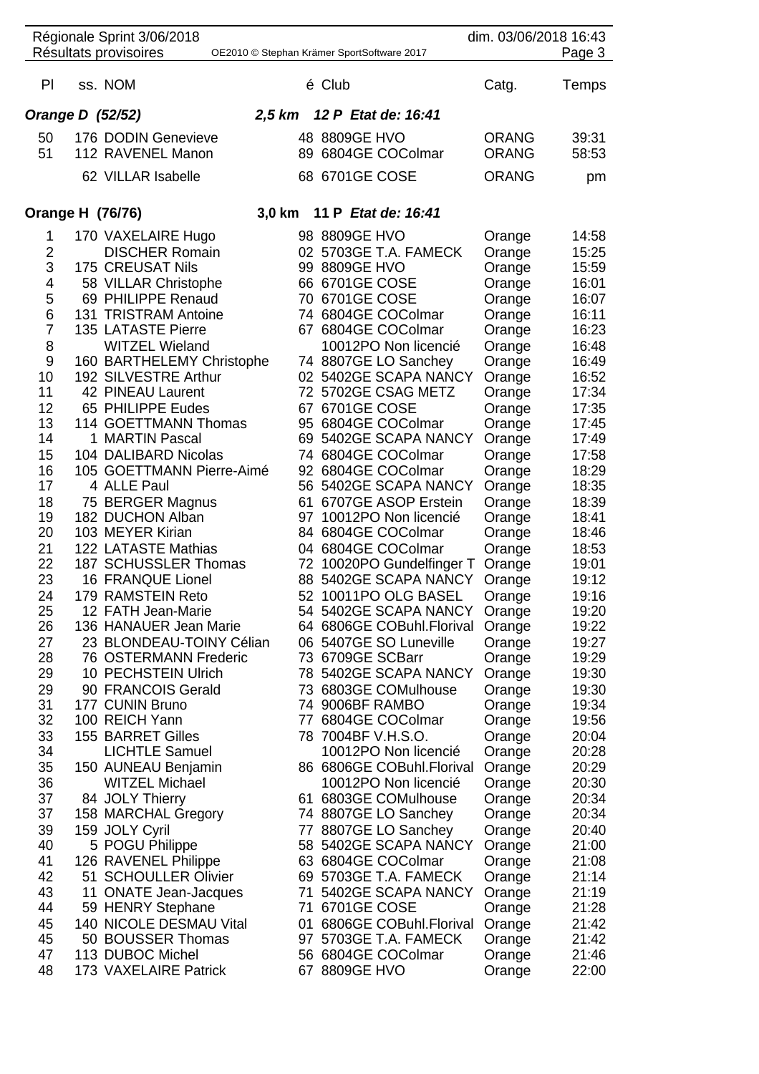|                         | Résultats provisoires | Régionale Sprint 3/06/2018   | OE2010 © Stephan Krämer SportSoftware 2017         |              | dim. 03/06/2018 16:43<br>Page 3 |
|-------------------------|-----------------------|------------------------------|----------------------------------------------------|--------------|---------------------------------|
|                         |                       |                              |                                                    |              |                                 |
| PI.                     | ss. NOM               |                              | é Club                                             | Catg.        | Temps                           |
|                         | Orange D (52/52)      | $2,5$ km                     | 12 P Etat de: 16:41                                |              |                                 |
| 50                      |                       | 176 DODIN Genevieve          | 48 8809GE HVO                                      | <b>ORANG</b> | 39:31                           |
| 51                      |                       | 112 RAVENEL Manon            | 89 6804GE COColmar                                 | <b>ORANG</b> | 58:53                           |
|                         |                       | 62 VILLAR Isabelle           | 68 6701GE COSE                                     | <b>ORANG</b> | pm                              |
|                         | Orange H (76/76)      | 3,0 km                       | 11 P Etat de: 16:41                                |              |                                 |
| 1                       |                       | 170 VAXELAIRE Hugo           | 98 8809GE HVO                                      | Orange       | 14:58                           |
| 2                       |                       | <b>DISCHER Romain</b>        | 02 5703GE T.A. FAMECK                              | Orange       | 15:25                           |
| 3                       |                       | 175 CREUSAT Nils             | 99 8809GE HVO                                      | Orange       | 15:59                           |
| $\overline{\mathbf{4}}$ |                       | 58 VILLAR Christophe         | 66 6701GE COSE                                     | Orange       | 16:01                           |
| 5                       |                       | 69 PHILIPPE Renaud           | 70 6701GE COSE                                     | Orange       | 16:07                           |
| 6                       |                       | 131 TRISTRAM Antoine         | 74 6804GE COColmar                                 | Orange       | 16:11                           |
| $\overline{7}$          |                       | 135 LATASTE Pierre           | 67 6804GE COColmar                                 | Orange       | 16:23                           |
| 8                       |                       | <b>WITZEL Wieland</b>        | 10012PO Non licencié                               | Orange       | 16:48                           |
| 9                       |                       | 160 BARTHELEMY Christophe    | 74 8807GE LO Sanchey                               | Orange       | 16:49                           |
| 10                      |                       | 192 SILVESTRE Arthur         | 02 5402GE SCAPA NANCY                              | Orange       | 16:52                           |
| 11                      |                       | 42 PINEAU Laurent            | 72 5702GE CSAG METZ                                | Orange       | 17:34                           |
| 12                      |                       | 65 PHILIPPE Eudes            | 67 6701GE COSE                                     | Orange       | 17:35                           |
| 13                      |                       | 114 GOETTMANN Thomas         | 95 6804GE COColmar                                 | Orange       | 17:45                           |
| 14                      |                       | 1 MARTIN Pascal              | 69 5402GE SCAPA NANCY                              | Orange       | 17:49                           |
| 15                      |                       | 104 DALIBARD Nicolas         | 74 6804GE COColmar                                 | Orange       | 17:58                           |
| 16                      |                       | 105 GOETTMANN Pierre-Aimé    | 92 6804GE COColmar                                 | Orange       | 18:29                           |
| 17                      |                       | 4 ALLE Paul                  | 56 5402GE SCAPA NANCY                              | Orange       | 18:35                           |
| 18                      |                       | 75 BERGER Magnus             | 61 6707GE ASOP Erstein                             | Orange       | 18:39                           |
| 19                      |                       | 182 DUCHON Alban             | 97 10012PO Non licencié                            | Orange       | 18:41                           |
| 20                      |                       | 103 MEYER Kirian             | 84 6804GE COColmar                                 | Orange       | 18:46                           |
| 21                      |                       | 122 LATASTE Mathias          | 04 6804GE COColmar                                 |              |                                 |
| 22                      |                       | 187 SCHUSSLER Thomas         |                                                    | Orange       | 18:53<br>19:01                  |
| 23                      |                       | 16 FRANQUE Lionel            | 72 10020PO Gundelfinger T<br>88 5402GE SCAPA NANCY | Orange       | 19:12                           |
|                         |                       |                              |                                                    | Orange       |                                 |
| 24                      |                       | 179 RAMSTEIN Reto            | 52 10011PO OLG BASEL                               | Orange       | 19:16                           |
| 25                      |                       | 12 FATH Jean-Marie           | 54 5402GE SCAPA NANCY                              | Orange       | 19:20                           |
| 26                      |                       | 136 HANAUER Jean Marie       | 64 6806GE COBuhl.Florival                          | Orange       | 19:22                           |
| 27                      |                       | 23 BLONDEAU-TOINY Célian     | 06 5407GE SO Luneville                             | Orange       | 19:27                           |
| 28                      |                       | <b>76 OSTERMANN Frederic</b> | 73 6709GE SCBarr                                   | Orange       | 19:29                           |
| 29                      |                       | 10 PECHSTEIN Ulrich          | 78 5402GE SCAPA NANCY                              | Orange       | 19:30                           |
| 29                      |                       | 90 FRANCOIS Gerald           | 73 6803GE COMulhouse                               | Orange       | 19:30                           |
| 31                      |                       | 177 CUNIN Bruno              | 74 9006BF RAMBO                                    | Orange       | 19:34                           |
| 32                      |                       | 100 REICH Yann               | 77 6804GE COColmar                                 | Orange       | 19:56                           |
| 33                      |                       | <b>155 BARRET Gilles</b>     | 78 7004BF V.H.S.O.                                 | Orange       | 20:04                           |
| 34                      |                       | <b>LICHTLE Samuel</b>        | 10012PO Non licencié                               | Orange       | 20:28                           |
| 35                      |                       | 150 AUNEAU Benjamin          | 86 6806GE COBuhl.Florival                          | Orange       | 20:29                           |
| 36                      |                       | <b>WITZEL Michael</b>        | 10012PO Non licencié                               | Orange       | 20:30                           |
| 37                      |                       | 84 JOLY Thierry              | 61 6803GE COMulhouse                               | Orange       | 20:34                           |
| 37                      |                       | 158 MARCHAL Gregory          | 74 8807GE LO Sanchey                               | Orange       | 20:34                           |
| 39                      |                       | 159 JOLY Cyril               | 77 8807GE LO Sanchey                               | Orange       | 20:40                           |
| 40                      |                       | 5 POGU Philippe              | 58 5402GE SCAPA NANCY                              | Orange       | 21:00                           |
| 41                      |                       | 126 RAVENEL Philippe         | 63 6804GE COColmar                                 | Orange       | 21:08                           |
| 42                      |                       | 51 SCHOULLER Olivier         | 69 5703GE T.A. FAMECK                              | Orange       | 21:14                           |
| 43                      |                       | 11 ONATE Jean-Jacques        | 71 5402GE SCAPA NANCY                              | Orange       | 21:19                           |
| 44                      |                       | 59 HENRY Stephane            | 71 6701GE COSE                                     | Orange       | 21:28                           |
| 45                      |                       | 140 NICOLE DESMAU Vital      | 01 6806GE COBuhl.Florival                          | Orange       | 21:42                           |
|                         |                       | 50 BOUSSER Thomas            | 97 5703GE T.A. FAMECK                              | Orange       | 21:42                           |
| 45                      |                       |                              |                                                    |              |                                 |
| 47                      |                       | 113 DUBOC Michel             | 56 6804GE COColmar                                 | Orange       | 21:46                           |

 $\overline{\phantom{0}}$